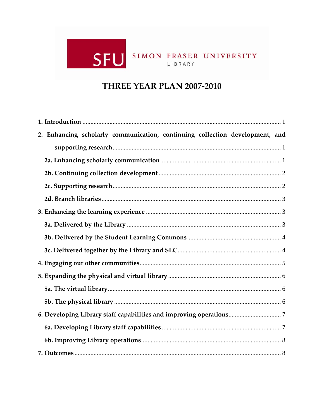# SFU SIMON FRASER UNIVERSITY

# THREE YEAR PLAN 2007-2010

| 2. Enhancing scholarly communication, continuing collection development, and |
|------------------------------------------------------------------------------|
|                                                                              |
|                                                                              |
|                                                                              |
|                                                                              |
|                                                                              |
|                                                                              |
|                                                                              |
|                                                                              |
|                                                                              |
|                                                                              |
|                                                                              |
|                                                                              |
|                                                                              |
|                                                                              |
|                                                                              |
|                                                                              |
|                                                                              |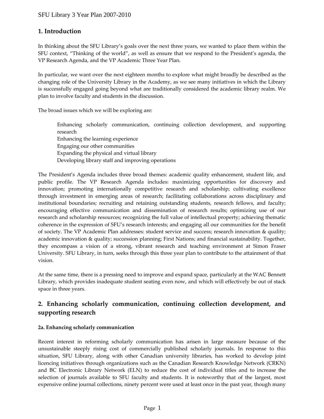# **1. Introduction**

In thinking about the SFU Library's goals over the next three years, we wanted to place them within the SFU context, "Thinking of the world", as well as ensure that we respond to the President's agenda, the VP Research Agenda, and the VP Academic Three Year Plan.

In particular, we want over the next eighteen months to explore what might broadly be described as the changing role of the University Library in the Academy, as we see many initiatives in which the Library is successfully engaged going beyond what are traditionally considered the academic library realm. We plan to involve faculty and students in the discussion.

The broad issues which we will be exploring are:

Enhancing scholarly communication, continuing collection development, and supporting research Enhancing the learning experience Engaging our other communities Expanding the physical and virtual library Developing library staff and improving operations

The President's Agenda includes three broad themes: academic quality enhancement, student life, and public profile. The VP Research Agenda includes: maximizing opportunities for discovery and innovation; promoting internationally competitive research and scholarship; cultivating excellence through investment in emerging areas of research; facilitating collaborations across disciplinary and institutional boundaries; recruiting and retaining outstanding students, research fellows, and faculty; encouraging effective communication and dissemination of research results; optimizing use of our research and scholarship resources; recognizing the full value of intellectual property; achieving thematic coherence in the expression of SFU's research interests; and engaging all our communities for the benefit of society. The VP Academic Plan addresses: student service and success; research innovation & quality; academic innovation & quality; succession planning; First Nations; and financial sustainability. Together, they encompass a vision of a strong, vibrant research and teaching environment at Simon Fraser University. SFU Library, in turn, seeks through this three year plan to contribute to the attainment of that vision.

At the same time, there is a pressing need to improve and expand space, particularly at the WAC Bennett Library, which provides inadequate student seating even now, and which will effectively be out of stack space in three years.

# **2. Enhancing scholarly communication, continuing collection development, and supporting research**

#### **2a. Enhancing scholarly communication**

Recent interest in reforming scholarly communication has arisen in large measure because of the unsustainable steeply rising cost of commercially published scholarly journals. In response to this situation, SFU Library, along with other Canadian university libraries, has worked to develop joint licencing initiatives through organizations such as the Canadian Research Knowledge Network (CRKN) and BC Electronic Library Network (ELN) to reduce the cost of individual titles and to increase the selection of journals available to SFU faculty and students. It is noteworthy that of the largest, most expensive online journal collections, ninety percent were used at least once in the past year, though many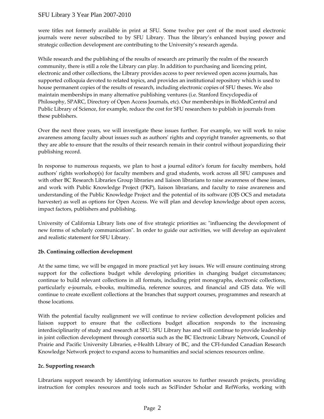were titles not formerly available in print at SFU. Some twelve per cent of the most used electronic journals were never subscribed to by SFU Library. Thus the library's enhanced buying power and strategic collection development are contributing to the University's research agenda.

While research and the publishing of the results of research are primarily the realm of the research community, there is still a role the Library can play. In addition to purchasing and licencing print, electronic and other collections, the Library provides access to peer reviewed open access journals, has supported colloquia devoted to related topics, and provides an institutional repository which is used to house permanent copies of the results of research, including electronic copies of SFU theses. We also maintain memberships in many alternative publishing ventures (i.e. Stanford Encyclopedia of Philosophy, SPARC, Directory of Open Access Journals, etc). Our memberships in BioMedCentral and Public Library of Science, for example, reduce the cost for SFU researchers to publish in journals from these publishers.

Over the next three years, we will investigate these issues further. For example, we will work to raise awareness among faculty about issues such as authors' rights and copyright transfer agreements, so that they are able to ensure that the results of their research remain in their control without jeopardizing their publishing record.

In response to numerous requests, we plan to host a journal editor's forum for faculty members, hold authors' rights workshop(s) for faculty members and grad students, work across all SFU campuses and with other BC Research Libraries Group libraries and liaison librarians to raise awareness of these issues, and work with Public Knowledge Project (PKP), liaison librarians, and faculty to raise awareness and understanding of the Public Knowledge Project and the potential of its software (OJS OCS and metadata harvester) as well as options for Open Access. We will plan and develop knowledge about open access, impact factors, publishers and publishing.

University of California Library lists one of five strategic priorities as: "influencing the development of new forms of scholarly communication". In order to guide our activities, we will develop an equivalent and realistic statement for SFU Library.

## **2b. Continuing collection development**

At the same time, we will be engaged in more practical yet key issues. We will ensure continuing strong support for the collections budget while developing priorities in changing budget circumstances; continue to build relevant collections in all formats, including print monographs, electronic collections, particularly e-journals, e-books, multimedia, reference sources, and financial and GIS data. We will continue to create excellent collections at the branches that support courses, programmes and research at those locations.

With the potential faculty realignment we will continue to review collection development policies and liaison support to ensure that the collections budget allocation responds to the increasing interdisciplinarity of study and research at SFU. SFU Library has and will continue to provide leadership in joint collection development through consortia such as the BC Electronic Library Network, Council of Prairie and Pacific University Libraries, e-Health Library of BC, and the CFI-funded Canadian Research Knowledge Network project to expand access to humanities and social sciences resources online.

#### **2c. Supporting research**

Librarians support research by identifying information sources to further research projects, providing instruction for complex resources and tools such as SciFinder Scholar and RefWorks, working with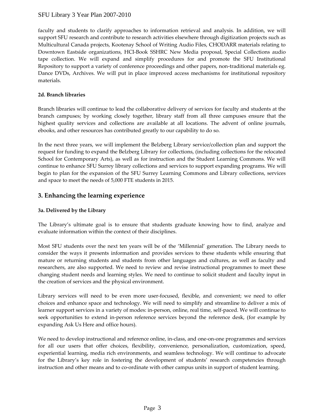faculty and students to clarify approaches to information retrieval and analysis. In addition, we will support SFU research and contribute to research activities elsewhere through digitization projects such as Multicultural Canada projects, Kootenay School of Writing Audio Files, CHODARR materials relating to Downtown Eastside organizations, HCI-Book SSHRC New Media proposal, Special Collections audio tape collection. We will expand and simplify procedures for and promote the SFU Institutional Repository to support a variety of conference proceedings and other papers, non-traditional materials eg. Dance DVDs, Archives. We will put in place improved access mechanisms for institutional repository materials.

### **2d. Branch libraries**

Branch libraries will continue to lead the collaborative delivery of services for faculty and students at the branch campuses; by working closely together, library staff from all three campuses ensure that the highest quality services and collections are available at all locations. The advent of online journals, ebooks, and other resources has contributed greatly to our capability to do so.

In the next three years, we will implement the Belzberg Library service/collection plan and support the request for funding to expand the Belzberg Library for collections, (including collections for the relocated School for Contemporary Arts), as well as for instruction and the Student Learning Commons. We will continue to enhance SFU Surrey library collections and services to support expanding programs. We will begin to plan for the expansion of the SFU Surrey Learning Commons and Library collections, services and space to meet the needs of 5,000 FTE students in 2015.

# **3. Enhancing the learning experience**

## **3a. Delivered by the Library**

The Library's ultimate goal is to ensure that students graduate knowing how to find, analyze and evaluate information within the context of their disciplines.

Most SFU students over the next ten years will be of the 'Millennial' generation. The Library needs to consider the ways it presents information and provides services to these students while ensuring that mature or returning students and students from other languages and cultures, as well as faculty and researchers, are also supported. We need to review and revise instructional programmes to meet these changing student needs and learning styles. We need to continue to solicit student and faculty input in the creation of services and the physical environment.

Library services will need to be even more user-focused, flexible, and convenient; we need to offer choices and enhance space and technology. We will need to simplify and streamline to deliver a mix of learner support services in a variety of modes: in-person, online, real time, self-paced. We will continue to seek opportunities to extend in-person reference services beyond the reference desk, (for example by expanding Ask Us Here and office hours).

We need to develop instructional and reference online, in-class, and one-on-one programmes and services for all our users that offer choices, flexibility, convenience, personalization, customization, speed, experiential learning, media rich environments, and seamless technology. We will continue to advocate for the Library's key role in fostering the development of students' research competencies through instruction and other means and to co-ordinate with other campus units in support of student learning.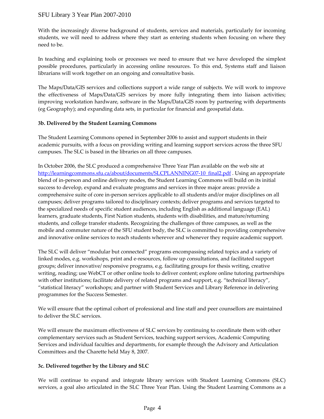With the increasingly diverse background of students, services and materials, particularly for incoming students, we will need to address where they start as entering students when focusing on where they need to be.

In teaching and explaining tools or processes we need to ensure that we have developed the simplest possible procedures, particularly in accessing online resources. To this end, Systems staff and liaison librarians will work together on an ongoing and consultative basis.

The Maps/Data/GIS services and collections support a wide range of subjects. We will work to improve the effectiveness of Maps/Data/GIS services by more fully integrating them into liaison activities; improving workstation hardware, software in the Maps/Data/GIS room by partnering with departments (eg Geography); and expanding data sets, in particular for financial and geospatial data.

#### **3b. Delivered by the Student Learning Commons**

The Student Learning Commons opened in September 2006 to assist and support students in their academic pursuits, with a focus on providing writing and learning support services across the three SFU campuses. The SLC is based in the libraries on all three campuses.

In October 2006, the SLC produced a comprehensive Three Year Plan available on the web site at http://learningcommons.sfu.ca/about/documents/SLCPLANNING07-10\_final2.pdf . Using an appropriate blend of in-person and online delivery modes, the Student Learning Commons will build on its initial success to develop, expand and evaluate programs and services in three major areas: provide a comprehensive suite of core in-person services applicable to all students and/or major disciplines on all campuses; deliver programs tailored to disciplinary contexts; deliver programs and services targeted to the specialized needs of specific student audiences, including English as additional language (EAL) learners, graduate students, First Nation students, students with disabilities, and mature/returning students, and college transfer students. Recognizing the challenges of three campuses, as well as the mobile and commuter nature of the SFU student body, the SLC is committed to providing comprehensive and innovative online services to reach students wherever and whenever they require academic support.

The SLC will deliver "modular but connected" programs encompassing related topics and a variety of linked modes, e.g. workshops, print and e-resources, follow up consultations, and facilitated support groups; deliver innovative/ responsive programs, e.g. facilitating groups for thesis writing, creative writing, reading; use WebCT or other online tools to deliver content; explore online tutoring partnerships with other institutions; facilitate delivery of related programs and support, e.g. "technical literacy", "statistical literacy" workshops; and partner with Student Services and Library Reference in delivering programmes for the Success Semester.

We will ensure that the optimal cohort of professional and line staff and peer counsellors are maintained to deliver the SLC services.

We will ensure the maximum effectiveness of SLC services by continuing to coordinate them with other complementary services such as Student Services, teaching support services, Academic Computing Services and individual faculties and departments, for example through the Advisory and Articulation Committees and the Charette held May 8, 2007.

#### **3c. Delivered together by the Library and SLC**

We will continue to expand and integrate library services with Student Learning Commons (SLC) services, a goal also articulated in the SLC Three Year Plan. Using the Student Learning Commons as a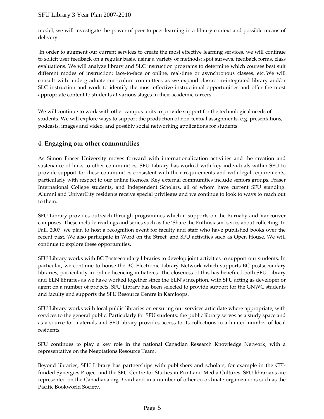model, we will investigate the power of peer to peer learning in a library context and possible means of delivery.

 In order to augment our current services to create the most effective learning services, we will continue to solicit user feedback on a regular basis, using a variety of methods: spot surveys, feedback forms, class evaluations. We will analyze library and SLC instruction programs to determine which courses best suit different modes of instruction: face-to-face or online, real-time or asynchronous classes, etc. We will consult with undergraduate curriculum committees as we expand classroom-integrated library and/or SLC instruction and work to identify the most effective instructional opportunities and offer the most appropriate content to students at various stages in their academic careers.

We will continue to work with other campus units to provide support for the technological needs of students. We will explore ways to support the production of non-textual assignments, e.g. presentations, podcasts, images and video, and possibly social networking applications for students.

# **4. Engaging our other communities**

As Simon Fraser University moves forward with internationalization activities and the creation and sustenance of links to other communities, SFU Library has worked with key individuals within SFU to provide support for these communities consistent with their requirements and with legal requirements, particularly with respect to our online licences. Key external communities include seniors groups, Fraser International College students, and Independent Scholars, all of whom have current SFU standing. Alumni and UniverCity residents receive special privileges and we continue to look to ways to reach out to them.

SFU Library provides outreach through programmes which it supports on the Burnaby and Vancouver campuses. These include readings and series such as the 'Share the Enthusiasm' series about collecting. In Fall, 2007, we plan to host a recognition event for faculty and staff who have published books over the recent past. We also participate in Word on the Street, and SFU activities such as Open House. We will continue to explore these opportunities.

SFU Library works with BC Postsecondary libraries to develop joint activities to support our students. In particular, we continue to house the BC Electronic Library Network which supports BC postsecondary libraries, particularly in online licencing initiatives. The closeness of this has benefited both SFU Library and ELN libraries as we have worked together since the ELN's inception, with SFU acting as developer or agent on a number of projects. SFU Library has been selected to provide support for the GNWC students and faculty and supports the SFU Resource Centre in Kamloops.

SFU Library works with local public libraries on ensuring our services articulate where appropriate, with services to the general public. Particularly for SFU students, the public library serves as a study space and as a source for materials and SFU library provides access to its collections to a limited number of local residents.

SFU continues to play a key role in the national Canadian Research Knowledge Network, with a representative on the Negotations Resource Team.

Beyond libraries, SFU Library has partnerships with publishers and scholars, for example in the CFIfunded Synergies Project and the SFU Centre for Studies in Print and Media Cultures. SFU librarians are represented on the Canadiana.org Board and in a number of other co-ordinate organizations such as the Pacific Bookworld Society.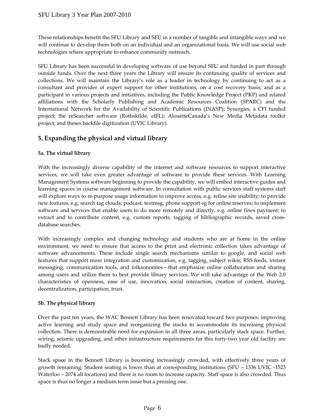These relationships benefit the SFU Library and SFU in a number of tangible and intangible ways and we will continue to develop them both on an individual and an organizational basis. We will use social web technologies where appropriate to enhance community outreach.

SFU Library has been successful in developing software of use beyond SFU and funded in part through outside funds. Over the next three years the Library will ensure its continuing quality of services and collections. We will maintain the Library's role as a leader in technology by continuing to act as a consultant and provider of expert support for other institutions, on a cost recovery basis, and as a participant in various projects and initiatives, including the Public Knowledge Project (PKP) and related affiliations with the Scholarly Publishing and Academic Resources Coalition (SPARC) and the International Network for the Availability of Scientific Publications (INASP); Synergies, a CFI funded project; the reSearcher software (Rothskilde, eIFL); AlouetteCanada's New Media Metadata toolkit project; and theses backfile digitization (UVIC Library).

# **5. Expanding the physical and virtual library**

#### **5a. The virtual library**

With the increasingly diverse capability of the internet and software resources to support interactive services, we will take even greater advantage of software to provide these services. With Learning Management Systems software beginning to provide the capability, we will embed interactive guides and learning spaces in course management software. In consultation with public services staff systems staff will explore ways to re-purpose usage information to improve access, e.g. refine site usability; to provide new features, e.g. search tag clouds, podcast, textmsg, phone support eg for online reserves; to implement software and services that enable users to do more remotely and directly, e.g. online fines payment; to extract and to contribute content, e.g. custom reports, tagging of bibliographic records, saved crossdatabase searches.

With increasingly complex and changing technology and students who are at home in the online environment, we need to ensure that access to the print and electronic collection takes advantage of software advancements. These include single search mechanisms similar to google, and social web features that support more integration and customization, e.g. tagging, subject wikis, RSS feeds, instant messaging, communication tools, and folksonomies—that emphasize online collaboration and sharing among users and utilize them to best provide library services. We will take advantage of the Web 2.0 characteristics of openness, ease of use, innovation, social interaction, creation of content, sharing, decentralization, participation, trust.

#### **5b. The physical library**

Over the past ten years, the WAC Bennett Library has been renovated toward two purposes: improving active learning and study space and reorganizing the stacks to accommodate its increasing physical collection. There is demonstrable need for expansion in all three areas, particularly stack space. Further, wiring, seismic upgrading, and other infrastructure requirements for this forty-two year old facility are badly needed.

Stack space in the Bennett Library is becoming increasingly crowded, with effectively three years of growth remaining. Student seating is lower than at corresponding institutions (SFU – 1336 UVIC -1523 Waterloo – 2074 all locations) and there is no room to increase capacity. Staff space is also crowded. Thus space is thus no longer a medium term issue but a pressing one.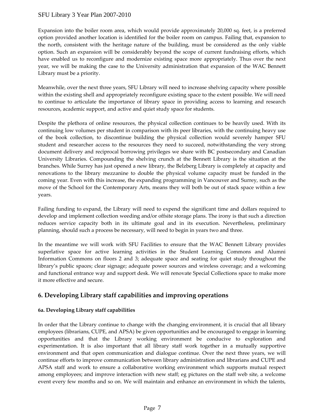Expansion into the boiler room area, which would provide approximately 20,000 sq. feet, is a preferred option provided another location is identified for the boiler room on campus. Failing that, expansion to the north, consistent with the heritage nature of the building, must be considered as the only viable option. Such an expansion will be considerably beyond the scope of current fundraising efforts, which have enabled us to reconfigure and modernize existing space more appropriately. Thus over the next year, we will be making the case to the University administration that expansion of the WAC Bennett Library must be a priority.

Meanwhile, over the next three years, SFU Library will need to increase shelving capacity where possible within the existing shell and appropriately reconfigure existing space to the extent possible. We will need to continue to articulate the importance of library space in providing access to learning and research resources, academic support, and active and quiet study space for students.

Despite the plethora of online resources, the physical collection continues to be heavily used. With its continuing low volumes per student in comparison with its peer libraries, with the continuing heavy use of the book collection, to discontinue building the physical collection would severely hamper SFU student and researcher access to the resources they need to succeed, notwithstanding the very strong document delivery and reciprocal borrowing privileges we share with BC postsecondary and Canadian University Libraries. Compounding the shelving crunch at the Bennett Library is the situation at the branches. While Surrey has just opened a new library, the Belzberg Library is completely at capacity and renovations to the library mezzanine to double the physical volume capacity must be funded in the coming year. Even with this increase, the expanding programming in Vancouver and Surrey, such as the move of the School for the Contemporary Arts, means they will both be out of stack space within a few years.

Failing funding to expand, the Library will need to expend the significant time and dollars required to develop and implement collection weeding and/or offsite storage plans. The irony is that such a direction reduces service capacity both in its ultimate goal and in its execution. Nevertheless, preliminary planning, should such a process be necessary, will need to begin in years two and three.

In the meantime we will work with SFU Facilities to ensure that the WAC Bennett Library provides superlative space for active learning activities in the Student Learning Commons and Alumni Information Commons on floors 2 and 3; adequate space and seating for quiet study throughout the library's public spaces; clear signage; adequate power sources and wireless coverage; and a welcoming and functional entrance way and support desk. We will renovate Special Collections space to make more it more effective and secure.

# **6. Developing Library staff capabilities and improving operations**

## **6a. Developing Library staff capabilities**

In order that the Library continue to change with the changing environment, it is crucial that all library employees (librarians, CUPE, and APSA) be given opportunities and be encouraged to engage in learning opportunities and that the Library working environment be conducive to exploration and experimentation. It is also important that all library staff work together in a mutually supportive environment and that open communication and dialogue continue. Over the next three years, we will continue efforts to improve communication between library administration and librarians and CUPE and APSA staff and work to ensure a collaborative working environment which supports mutual respect among employees; and improve interaction with new staff; eg pictures on the staff web site, a welcome event every few months and so on. We will maintain and enhance an environment in which the talents,